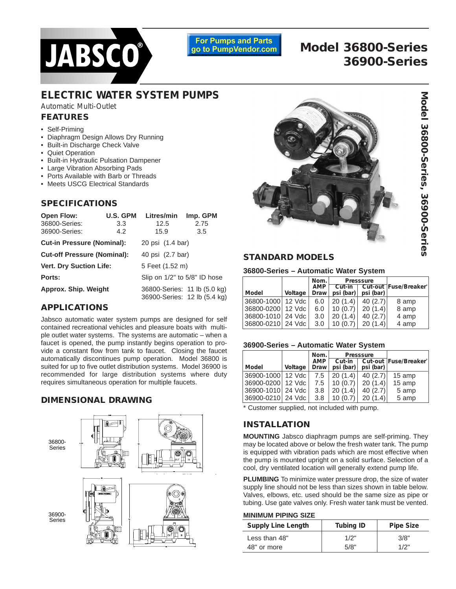

**For Pumps and Parts** go to PumpVendor.com

# **Model 36800-Series 36900-Series**

# **ELECTRIC WATER SYSTEM PUMPS**

*Automatic Multi-Outlet*

# **FEATURES**

- Self-Priming
- Diaphragm Design Allows Dry Running
- Built-in Discharge Check Valve
- Quiet Operation
- Built-in Hydraulic Pulsation Dampener
- Large Vibration Absorbing Pads
- Ports Available with Barb or Threads
- Meets USCG Electrical Standards

# **SPECIFICATIONS**

| <b>Open Flow:</b>                  | <b>U.S. GPM</b> | Litres/min                   | Imp. GPM                                                     |  |
|------------------------------------|-----------------|------------------------------|--------------------------------------------------------------|--|
| 36800-Series:                      | 3.3             | 12.5                         | 2.75                                                         |  |
| 36900-Series:                      | 4.2             | 15.9                         | 3.5                                                          |  |
| <b>Cut-in Pressure (Nominal):</b>  |                 | 20 psi (1.4 bar)             |                                                              |  |
| <b>Cut-off Pressure (Nominal):</b> |                 | 40 psi (2.7 bar)             |                                                              |  |
| <b>Vert. Dry Suction Life:</b>     |                 | 5 Feet (1.52 m)              |                                                              |  |
| Ports:                             |                 | Slip on 1/2" to 5/8" ID hose |                                                              |  |
| Approx. Ship. Weight               |                 |                              | 36800-Series: 11 lb (5.0 kg)<br>36900-Series: 12 lb (5.4 kg) |  |

# **APPLICATIONS**

Jabsco automatic water system pumps are designed for self contained recreational vehicles and pleasure boats with multiple outlet water systems. The systems are automatic – when a faucet is opened, the pump instantly begins operation to provide a constant flow from tank to faucet. Closing the faucet automatically discontinues pump operation. Model 36800 is suited for up to five outlet distribution systems. Model 36900 is recommended for large distribution systems where duty requires simultaneous operation for multiple faucets.

# **DIMENSIONAL DRAWING**





## **STANDARD MODELS**

## **36800-Series – Automatic Water System**

| Model             | Voltage | Nom.<br><b>AMP</b><br>Draw | psi(bar) | <b>Presssure</b><br>psi (bar) | Cut-in   Cut-out   Fuse/Breaker |
|-------------------|---------|----------------------------|----------|-------------------------------|---------------------------------|
| 36800-1000 12 Vdc |         | 6.0                        | 20(1.4)  | 40(2.7)                       | 8 amp                           |
| 36800-0200 12 Vdc |         | 6.0                        | 10(0.7)  | 20(1.4)                       | 8 amp                           |
| 36800-1010 24 Vdc |         | 3.0                        | 20(1.4)  | 40(2.7)                       | 4 amp                           |
| 36800-0210 24 Vdc |         | 3.0                        | 10(0.7)  | 20(1.4)                       | 4 amp                           |

### **36900-Series – Automatic Water System**

| Model               | Voltage | Nom.<br>AMP<br>Draw | Cut-in<br>psi(bar) | Presssure<br>psi (bar) | Cut-out   Fuse/Breaker` |
|---------------------|---------|---------------------|--------------------|------------------------|-------------------------|
| 36900-1000   12 Vdc |         | 7.5                 | 20(1.4)            | 40(2.7)                | 15 amp                  |
| 36900-0200 12 Vdc   |         | 7.5                 | 10(0.7)            | 20(1.4)                | 15 amp                  |
| 36900-1010   24 Vdc |         | 3.8                 | 20(1.4)            | 40(2.7)                | 5 amp                   |
| 36900-0210   24 Vdc |         | 3.8                 | 10(0.7)            | 20(1.4)                | 5 amp                   |

\* Customer supplied, not included with pump.

# **INSTALLATION**

**MOUNTING** Jabsco diaphragm pumps are self-priming. They may be located above or below the fresh water tank. The pump is equipped with vibration pads which are most effective when the pump is mounted upright on a solid surface. Selection of a cool, dry ventilated location will generally extend pump life.

**PLUMBING** To minimize water pressure drop, the size of water supply line should not be less than sizes shown in table below. ows, etc. used should be the same size as pipe or gate valves only. Fresh water tank must be vented.

## **PIPING SIZE**

| <b>Supply Line Length</b> | <b>Tubing ID</b> | <b>Pipe Size</b> |
|---------------------------|------------------|------------------|
| Less than 48"             | 1/2"             | 3/8"             |
| 48" or more               | 5/8"             | 1/2"             |

| ธ            | Valves, elbo<br>tubing. Use |
|--------------|-----------------------------|
|              | <b>MINIMUM F</b>            |
|              | Supply Li                   |
| l lout<br>IN | Less than                   |
|              | 48" or mor                  |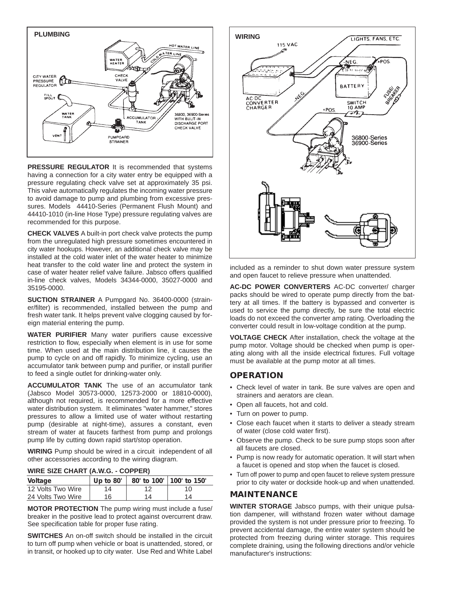

**PRESSURE REGULATOR** It is recommended that systems having a connection for a city water entry be equipped with a pressure regulating check valve set at approximately 35 psi. This valve automatically regulates the incoming water pressure to avoid damage to pump and plumbing from excessive pressures. Models 44410-Series (Permanent Flush Mount) and 44410-1010 (in-line Hose Type) pressure regulating valves are recommended for this purpose.

**CHECK VALVES** A built-in port check valve protects the pump from the unregulated high pressure sometimes encountered in city water hookups. However, an additional check valve may be installed at the cold water inlet of the water heater to minimize heat transfer to the cold water line and protect the system in case of water heater relief valve failure. Jabsco offers qualified in-line check valves, Models 34344-0000, 35027-0000 and 35195-0000.

**SUCTION STRAINER** A Pumpgard No. 36400-0000 (strainer/filter) is recommended, installed between the pump and fresh water tank. It helps prevent valve clogging caused by foreign material entering the pump.

**WATER PURIFIER** Many water purifiers cause excessive restriction to flow, especially when element is in use for some time. When used at the main distribution line, it causes the pump to cycle on and off rapidly. To minimize cycling, use an accumulator tank between pump and purifier, or install purifier to feed a single outlet for drinking-water only.

**ACCUMULATOR TANK** The use of an accumulator tank (Jabsco Model 30573-0000, 12573-2000 or 18810-0000), although not required, is recommended for a more effective water distribution system. It eliminates "water hammer," stores pressures to allow a limited use of water without restarting pump (desirable at night-time), assures a constant, even stream of water at faucets farthest from pump and prolongs pump life by cutting down rapid start/stop operation.

**WIRING** Pump should be wired in a circuit independent of all other accessories according to the wiring diagram.

| $T = T - T$       |             |    |                            |  |  |
|-------------------|-------------|----|----------------------------|--|--|
| Voltage           | Up to $80'$ |    | 80' to 100'   100' to 150' |  |  |
| 12 Volts Two Wire | 14          | 12 | 10                         |  |  |
| 24 Volts Two Wire | 16          | 14 | 14                         |  |  |

**WIRE SIZE CHART (A.W.G. - COPPER)**

**MOTOR PROTECTION** The pump wiring must include a fuse/ breaker in the positive lead to protect against overcurrent draw. See specification table for proper fuse rating.

**SWITCHES** An on-off switch should be installed in the circuit to turn off pump when vehicle or boat is unattended, stored, or in transit, or hooked up to city water. Use Red and White Label



included as a reminder to shut down water pressure system and open faucet to relieve pressure when unattended.

**AC-DC POWER CONVERTERS** AC-DC converter/ charger packs should be wired to operate pump directly from the battery at all times. If the battery is bypassed and converter is used to service the pump directly, be sure the total electric loads do not exceed the converter amp rating. Overloading the converter could result in low-voltage condition at the pump.

**VOLTAGE CHECK** After installation, check the voltage at the pump motor. Voltage should be checked when pump is operating along with all the inside electrical fixtures. Full voltage must be available at the pump motor at all times.

# **OPERATION**

- Check level of water in tank. Be sure valves are open and strainers and aerators are clean.
- Open all faucets, hot and cold.
- Turn on power to pump.
- Close each faucet when it starts to deliver a steady stream of water (close cold water first).
- Observe the pump. Check to be sure pump stops soon after all faucets are closed.
- Pump is now ready for automatic operation. It will start when a faucet is opened and stop when the faucet is closed.
- Turn off power to pump and open faucet to relieve system pressure prior to city water or dockside hook-up and when unattended.

# **MAINTENANCE**

**WINTER STORAGE** Jabsco pumps, with their unique pulsation dampener, will withstand frozen water without damage provided the system is not under pressure prior to freezing. To prevent accidental damage, the entire water system should be protected from freezing during winter storage. This requires complete draining, using the following directions and/or vehicle manufacturer's instructions: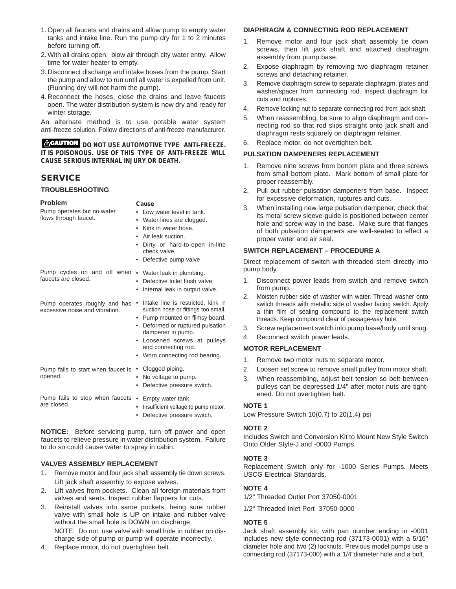- 1. Open all faucets and drains and allow pump to empty water tanks and intake line. Run the pump dry for 1 to 2 minutes before turning off.
- 2. With all drains open, blow air through city water entry. Allow time for water heater to empty.
- 3. Disconnect discharge and intake hoses from the pump. Start the pump and allow to run until all water is expelled from unit. (Running dry will not harm the pump).
- 4. Reconnect the hoses, close the drains and leave faucets open. The water distribution system is now dry and ready for winter storage.

An alternate method is to use potable water system anti-freeze solution. Follow directions of anti-freeze manufacturer.

**ACAUTION** DO NOT USE AUTOMOTIVE TYPE ANTI-FREEZE. **IT IS POISONOUS. USE OF THIS TYPE OF ANTI-FREEZE WILL CAUSE SERIOUS INTERNAL INJURY OR DEATH.**

# **SERVICE**

#### **TROUBLESHOOTING**

#### **Problem**

Pump operates but no water flows through faucet.

- **Cause**
- Low water level in tank.
- Water lines are clogged.
- Kink in water hose.
- Air leak suction.
- Dirty or hard-to-open in-line check valve.
- Defective pump valve

• Defective toilet flush valve. • Internal leak in output valve.

Pump cycles on and off when • Water leak in plumbing. faucets are closed.

Pump operates roughly and has • Intake line is restricted, kink in excessive noise and vibration.

- suction hose or fittings too small. • Pump mounted on flimsy board.
- Deformed or ruptured pulsation dampener in pump.
- Loosened screws at pulleys and connecting rod.
- Worn connecting rod bearing.

Pump fails to start when faucet is • Clogged piping. opened. • No voltage to pump. • Defective pressure switch.

Pump fails to stop when faucets • Empty water tank. are closed. • Insufficient voltage to pump motor.

• Defective pressure switch.

**NOTICE:** Before servicing pump, turn off power and open faucets to relieve pressure in water distribution system. Failure to do so could cause water to spray in cabin.

## **VALVES ASSEMBLY REPLACEMENT**

- 1. Remove motor and four jack shaft assembly tie down screws. Lift jack shaft assembly to expose valves.
- 2. Lift valves from pockets. Clean all foreign materials from valves and seats. Inspect rubber flappers for cuts.
- 3. Reinstall valves into same pockets, being sure rubber valve with small hole is UP on intake and rubber valve without the small hole is DOWN on discharge. NOTE: Do not use valve with small hole in rubber on discharge side of pump or pump will operate incorrectly.
- 4. Replace motor, do not overtighten belt.

#### **DIAPHRAGM & CONNECTING ROD REPLACEMENT**

- 1. Remove motor and four jack shaft assembly tie down screws, then lift jack shaft and attached diaphragm assembly from pump base.
- 2. Expose diaphragm by removing two diaphragm retainer screws and detaching retainer.
- 3. Remove diaphragm screw to separate diaphragm, plates and washer/spacer from connecting rod. Inspect diaphragm for cuts and ruptures.
- 4. Remove locking nut to separate connecting rod from jack shaft.
- 5. When reassembling, be sure to align diaphragm and connecting rod so that rod slips straight onto jack shaft and diaphragm rests squarely on diaphragm retainer.
- 6. Replace motor, do not overtighten belt.

# **PULSATION DAMPENERS REPLACEMENT**

- 1. Remove nine screws from bottom plate and three screws from small bottom plate. Mark bottom of small plate for proper reassembly.
- 2. Pull out rubber pulsation dampeners from base. Inspect for excessive deformation, ruptures and cuts.
- 3. When installing new large pulsation dampener, check that its metal screw sleeve-guide is positioned between center hole and screw-way in the base. Make sure that flanges of both pulsation dampeners are well-seated to effect a proper water and air seal.

## **SWITCH REPLACEMENT – PROCEDURE A**

Direct replacement of switch with threaded stem directly into pump body.

- 1. Disconnect power leads from switch and remove switch from pump.
- 2. Moisten rubber side of washer with water. Thread washer onto switch threads with metallic side of washer facing switch. Apply a thin film of sealing compound to the replacement switch threads. Keep compound clear of passage-way hole.
- 3. Screw replacement switch into pump base/body until snug.
- 4. Reconnect switch power leads.

# **MOTOR REPLACEMENT**

- 1. Remove two motor nuts to separate motor.
- 2. Loosen set screw to remove small pulley from motor shaft.
- 3. When reassembling, adjust belt tension so belt between pulleys can be depressed 1/4" after motor nuts are tightened. Do not overtighten belt.

## **NOTE 1**

Low Pressure Switch 10(0.7) to 20(1.4) psi

### **NOTE 2**

Includes Switch and Conversion Kit to Mount New Style Switch Onto Older Style-J and -0000 Pumps.

## **NOTE 3**

Replacement Switch only for -1000 Series Pumps. Meets USCG Electrical Standards.

## **NOTE 4**

1/2" Threaded Outlet Port 37050-0001

1/2" Threaded Inlet Port 37050-0000

## **NOTE 5**

Jack shaft assembly kit, with part number ending in -0001 includes new style connecting rod (37173-0001) with a 5/16" diameter hole and two (2) locknuts. Previous model pumps use a connecting rod (37173-000) with a 1/4"diameter hole and a bolt.